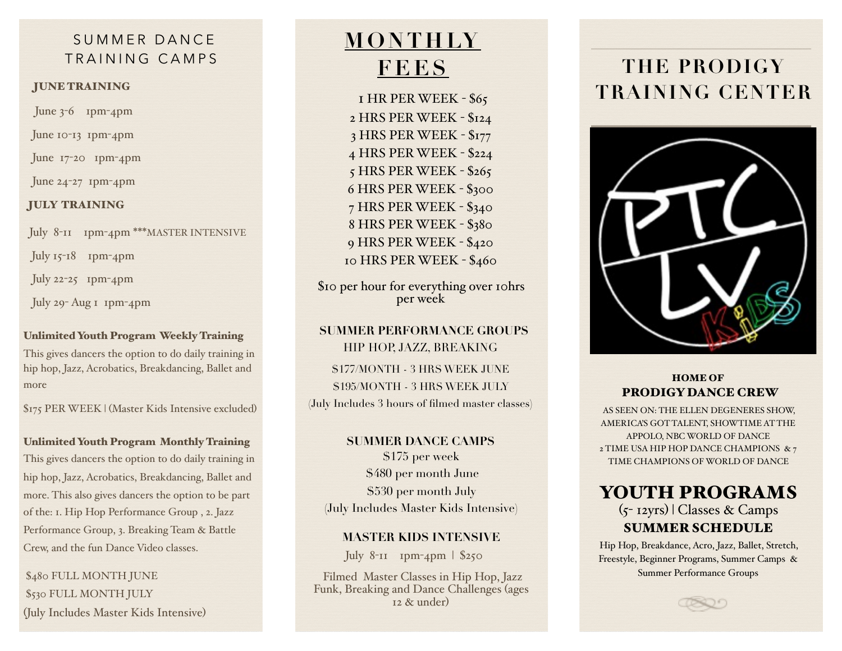## SUMMER DANCE TRAINING CAMPS

#### JUNE TRAINING

June 3-6 1pm-4pm

June 10-13 1pm-4pm

June 17-20 1pm-4pm

June 24-27 1pm-4pm

### JULY TRAINING

July 8-11 1pm-4pm \*\*\*MASTER INTENSIVE

July  $15$ -18 1pm-4pm

July 22-25 1pm-4pm

July 29- Aug 1 1pm-4pm

### Unlimited Youth Program Weekly Training

This gives dancers the option to do daily training in hip hop, Jazz, Acrobatics, Breakdancing, Ballet and more

\$175 PER WEEK | (Master Kids Intensive excluded)

#### Unlimited Youth Program Monthly Training

This gives dancers the option to do daily training in hip hop, Jazz, Acrobatics, Breakdancing, Ballet and more. This also gives dancers the option to be part of the: 1. Hip Hop Performance Group , 2. Jazz Performance Group, 3. Breaking Team & Battle Crew, and the fun Dance Video classes.

\$480 FULL MONTH JUNE \$530 FULL MONTH JULY (July Includes Master Kids Intensive)

# **MONTHLY FEES**

1 HR PER WEEK - \$65 2 HRS PER WEEK - \$124 3 HRS PER WEEK - \$177 4 HRS PER WEEK - \$224 5 HRS PER WEEK - \$265 6 HRS PER WEEK - \$300 7 HRS PER WEEK - \$340 8 HRS PER WEEK - \$380 9 HRS PER WEEK - \$420 10 HRS PER WEEK - \$460

\$10 per hour for everything over 10hrs per week

### **SUMMER PERFORMANCE GROUPS**  HIP HOP, JAZZ, BREAKING

\$177/MONTH - 3 HRS WEEK JUNE \$195/MONTH - 3 HRS WEEK JULY (July Includes 3 hours of filmed master classes)

### **SUMMER DANCE CAMPS**

\$175 per week \$480 per month June \$530 per month July (July Includes Master Kids Intensive)

### **MASTER KIDS INTENSIVE**

July 8-11 1pm-4pm | \$250

 Filmed Master Classes in Hip Hop, Jazz Funk, Breaking and Dance Challenges (ages  $12$  & under)

# **THE PRODIGY TRAINING CENTER**



### HOME OF PRODIGY DANCE CREW

AS SEEN ON: THE ELLEN DEGENERES SHOW, AMERICA'S GOT TALENT, SHOWTIME AT THE APPOLO, NBC WORLD OF DANCE 2 TIME USA HIP HOP DANCE CHAMPIONS & 7 TIME CHAMPIONS OF WORLD OF DANCE

# YOUTH PROGRAMS

(5- 12yrs) | Classes & Camps SUMMER SCHEDULE

Hip Hop, Breakdance, Acro, Jazz, Ballet, Stretch, Freestyle, Beginner Programs, Summer Camps & Summer Performance Groups